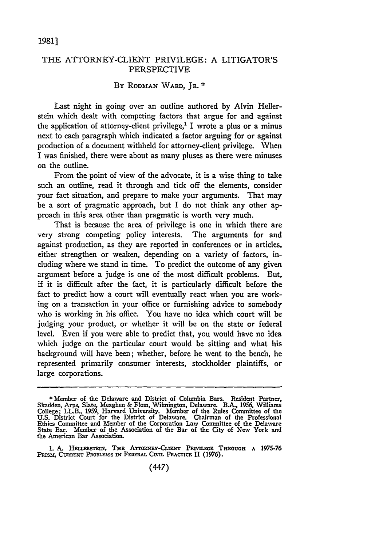## THE ATTORNEY-CLIENT PRIVILEGE: A LITIGATOR'S PERSPECTIVE

## **By** RODMAN WARD, JR. **\***

Last night in going over an outline authored **by** Alvin Hellerstein which dealt with competing factors that argue for and against the application of attorney-client privilege,<sup> $1$ </sup> I wrote a plus or a minus next to each paragraph which indicated a factor arguing for or against production of a document withheld for attorney-client privilege. When I was finished, there were about as many pluses as there were minuses on the outline.

From the point of view of the advocate, it is a wise thing to take such an outline, read it through and tick off the elements, consider your fact situation, and prepare to make your arguments. That may be a sort of pragmatic approach, but I do not think any other approach in this area other than pragmatic is worth very much.

That is because the area of privilege is one in which there are very strong competing policy interests. The arguments for and against production, as they are reported in conferences or in articles, either strengthen or weaken, depending on a variety of factors, including where we stand in time. To predict the outcome of any given argument before a judge is one of the most difficult problems. But, if it is difficult after the fact, it is particularly difficult before the fact to predict how a court will eventually react when you are working on a transaction in your office or furnishing advice to somebody who is working in his office. You have no idea which court will be judging your product, or whether it will be on the state or federal level. Even if you were able to predict that, you would have no idea which judge on the particular court would be sitting and what his background will have been; whether, before he went to the bench, he represented primarily consumer interests, stockholder plaintiffs, or large corporations.

<sup>\*</sup>Member of the Delaware and District of Columbia Bars. Resident Partner, Skadden, Arps, Slate, Meaghen & Flom, Wilmington, Delaware. B.A., **1956,** Williams College; LL.B., **1959,** Harvard University. Member of the Rules Committee of the **U.S.** District Court for the District of Delaware. Chairman of the Professional Ethics Committee and Member of the Corporation Law Committee of the Delaware State Bar. Member of the Association of the Bar of the City of New York and the American Bar Association.

<sup>1.</sup> A. HELLERSTEIN, THE ATTORNEY-CLIENT PRIVILEGE THROUGH A 1975-76 PRISM, CURRENT PROBLEMS IN FEDERAL CIVIL PRACTICE II (1976).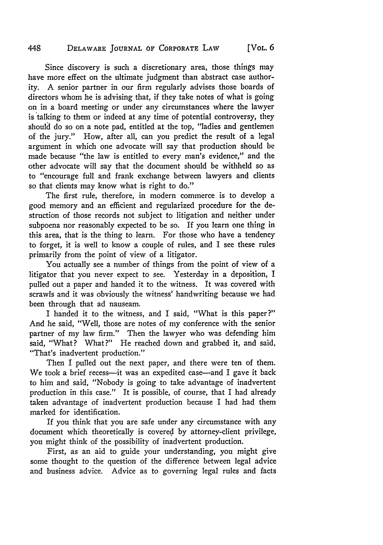## 448 DELAWARE JOURNAL OF CORPORATE LAW [VOL. **6**

Since discovery is such a discretionary area, those things may have more effect on the ultimate judgment than abstract case authority. A senior partner in our firm regularly advises those boards of directors whom he is advising that, if they take notes of what is going on in a board meeting or under any circumstances where the lawyer is talking to them or indeed at any time of potential controversy, they should do so on a note pad, entitled at the top, "ladies and gentlemen of the jury." How, after all, can you predict the result of a legal argument in which one advocate will say that production should be made because "the law is entitled to every man's evidence," and the other advocate will say that the document should be withheld so as to "encourage full and frank exchange between lawyers and clients so that clients may know what is right to do."

The first rule, therefore, in modern commerce is to develop a good memory and an efficient and regularized procedure for the destruction of those records not subject to litigation and neither under subpoena nor reasonably expected to be so. If you learn one thing in this area, that is the thing to learn. For those who have a tendency to forget, it is well to know a couple of rules, and I see these rules primarily from the point of view of a litigator.

You actually see a number of things from the point of view of a litigator that you never expect to see. Yesterday in a deposition, I pulled out a paper and handed it to the witness. It was covered with scrawls and it was obviously the witness' handwriting because we had been through that ad nauseam.

I handed it to the witness, and I said, "What is this paper?" And he said, "Well, those are notes of my conference with the senior partner of my law firm." Then the lawyer who was defending him said, "What? What?" He reached down and grabbed it, and said "That's inadvertent production."

Then I pulled out the next paper, and there were ten of them. We took a brief recess-it was an expedited case-and I gave it back to him and said, "Nobody is going to take advantage of inadvertent production in this case." It is possible, of course, that I had already taken advantage of inadvertent production because I had had them marked for identification.

If you think that you are safe under any circumstance with any document which theoretically is covered by attorney-client privilege, you might think of the possibility of inadvertent production.

First, as an aid to guide your understanding, you might give some thought to the question of the difference between legal advice and business advice. Advice as to governing legal rules and facts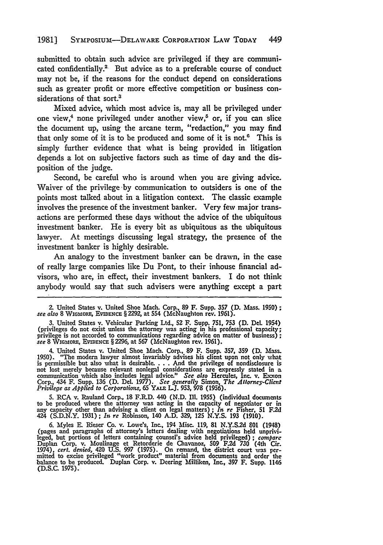submitted to obtain such advice are privileged if they are communicated confidentially.<sup>2</sup> But advice as to a preferable course of conduct may not be, if the reasons for the conduct depend on considerations such as greater profit or more effective competition or business considerations of that sort.<sup>3</sup>

Mixed advice, which most advice is, may all be privileged under one view,<sup>4</sup> none privileged under another view,<sup> $\delta$ </sup> or, if you can slice the document up, using the arcane term, "redaction," you may find that only some of it is to be produced and some of it is not. $<sup>6</sup>$  This is</sup> simply further evidence that what is being provided in litigation depends a lot on subjective factors such as time of day and the disposition of the judge.

Second, be careful who is around when you are giving advice. Waiver of the privilege by communication to outsiders is one of the points most talked about in a litigation context. The classic example involves the presence of the investment banker. Very few major transactions are performed these days without the advice of the ubiquitous investment banker. He is every bit as ubiquitous as the ubiquitous lawyer. At meetings discussing legal strategy, the presence of the investment banker is highly desirable.

An analogy to the investment banker can be drawn, in the case of really large companies like Du Pont, to their inhouse financial advisors, who are, in effect, their investment bankers. I do not think anybody would say that such advisers were anything except a part

**3.** United States v. Vehicular Parking Ltd., **52** F. Supp. **751, 753 (D.** DeL 1954) (privileges do not exist unless the attorney was acting in his professional tapacity; privilege is not accorded to communications regarding advice on matter of business) *see* 8 WIGMORE, EVIDENCE § 2296, at 567 (McNaughton rev. 1961).

4. United States v. United Shoe Mach. Corp., 89 F. Supp. 357, 359 (D. Mass. 1950). "The modern lawyer almost invariably advises his client upon not only what is permissible but also what is desirable.... And the privilege not lost merely because relevant nonlegal considerations are expressly stated in a communication which also includes legal advice." *See also* Hercules, Inc. v. Exxon **Corp.,** 434 F. Supp. **136 (D.** Del. **1977).** *See generally* Simon, *The Attorney-Client Privilege as Applied to Corporations,* 65 **YALE LJ. 953, 978 (1956).**

**5.** RCA v. Rauland Corp., **18** F.R.D. 440 **(N.D. Ill.** 1955) (individual documents to be produced where the attorney was acting in the capacity of negotiator or in any capacity other **than** advising a client on legal matters) **;** *In re* Fisher, **51 F.2d** 424 **(S.D.N.Y. 1931) ;** *In re* Robinson, 140 **A.D. 329, 125 N.Y.S. 193 (1910).**

6. Myles **E.** Rieser Co. v. Lowe's, Inc., 194 Misc. **119, 81 N.Y.S2d 801** (1948) (pages and paragraphs of attorney's letters dealing with negotiations held unprivi- leged, but portions of letters containing counsel's advice held privileged); *compare* Duplan Corp. v. Moulinage et Retorderie de Chavanoz, 509 F.2d 730 (4th Cir. 1974), cert. denied, 420 U.S. 997 (1975). On remand, the district court was permitted to excise privileged "work product" material from documents (D.S.C. **1975).**

<sup>2.</sup> United States v. United Shoe Mach. Corp., **89** F. Supp. **357 (D.** Mass. **1950);** *see also* **8** WIGmoRF, **EVIDENcE** § **2292,** at 554 (McNaughton rev. **1961).**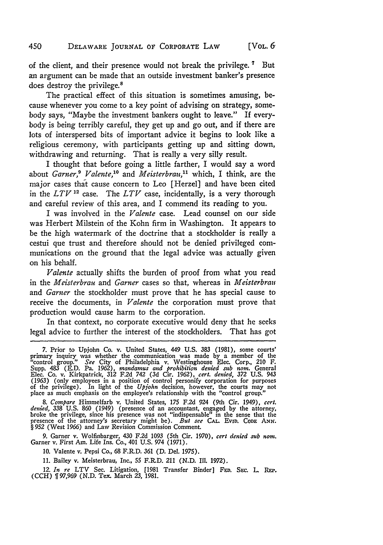of the client, and their presence would not break the privilege. **7** But an argument can be made that an outside investment banker's presence

does destroy the privilege.<sup>8</sup> The practical effect of this situation is sometimes amusing, because whenever you come to a key point of advising on strategy, somebody says, "Maybe the investment bankers ought to leave." If everybody is being terribly careful, they get up and go out, and if there are lots of interspersed bits of important advice it begins to look like a religious ceremony, with participants getting up and sitting down, withdrawing and returning. That is really a very silly result.

I thought that before going a little farther, I would say a word about *Garner,9 Valente,"'* and *Meisterbrau,"* which, I think, are the major cases that cause concern to Leo [Herzel] and have been cited in the  $LTV$ <sup>12</sup> case. The  $LTV$  case, incidentally, is a very thorough and careful review of this area, and I commend its reading to **you.**

I was involved in the *Valente* case. Lead counsel on our side was Herbert Milstein of the Kohn firm in Washington. It appears to be the high watermark of the doctrine that a stockholder is really a cestui que trust and therefore should not be denied privileged communications on the ground that the legal advice was actually given on his behalf.

*Valente* actually shifts the burden of proof from what you read in the *Meisterbrau* and *Garner* cases so that, whereas in *Meisterbran* and *Garner* the stockholder must prove that he has special cause to receive the documents, in *Valente* the corporation must prove that production would cause harm to the corporation.

In that context, no corporate executive would deny that he seeks legal advice to further the interest of the stockholders. That has got

*8. Compare* Himmelfarb v. United States, 175 F.2d 924 (9th Cir. 1949), *cert.* denied, 338 U.S. 860 (1949) (presence of an accountant, engaged by the attorney, broke the privilege, since his presence was not "indispensable" in the sense that the presence of the attorney's secretary might be). *But se* § 952 (West 1966) and Law Revision Commission Comment.

9. Garner v. Wolfinbarger, 430 F.2d 1093 (5th Cir. 1970), *cert denied sub noran.* Garner v. First Am. Life Ins. Co., 401 U.S. 974 (1971).

10. Valente v. Pepsi Co., 68 F.R.D. *361* (D. Del. 1975).

11. Bailey v. Meisterbrau, Inc., 55 F.R.D. 211 (N.D. IIl. 1972).

12. *In re* LTV Sec. Litigation, [1981 Transfer Binder] **FED.** SEc. L. **REP.** (CCH) **ff** 97,969 (N.D. Tex. March 23, 1981.

**<sup>7.</sup>** Prior to Upjohn Co. v. United States, 449 **U.S. 383 (1981),** some courts' primary inquiry was whether the communication was made by a member of the "control group." See City of Philadelphia v. Westinghouse Elec. Corp., 210 F.<br>Supp. 483 (E.D. Pa. 1962), mandamus and prohibition denied sub nom. Ge (1963) (only employees in a position of control personify corporation for purposes of the privilege). In light of the *Upjohn* decision, however, the courts may not place as much emphasis on the employee's relationship with the "control group."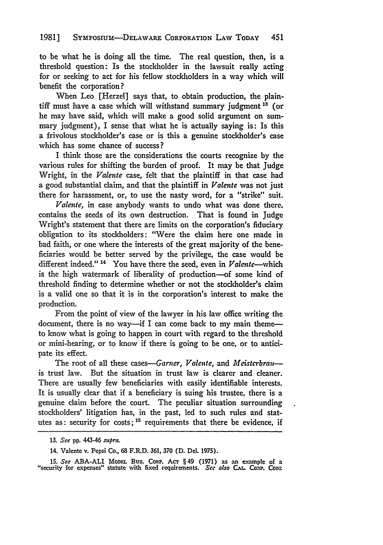to be what he is doing all the time. The real question, then, is a threshold question: Is the stockholder in the lawsuit really acting for or seeking to act for his fellow stockholders in a way which will benefit the corporation?

When Leo [Herzel] says that, to obtain production, the plaintiff must have a case which will withstand summary judgment<sup>13</sup> (or he may have said, which will make a good solid argument on summary judgment), I sense that what he is actually saying is: Is this a frivolous stockholder's case or is this a genuine stockholder's case which has some chance of success?

I think those are the considerations the courts recognize by the various rules for shifting the burden of proof. It may be that Judge Wright, in the *Valente* case, felt that the plaintiff in that case had a good substantial claim, and that the plaintiff in *Valente* was not just there for harassment, or, to use the nasty word, for a "strike" suit.

*Valente,* in case anybody wants to undo what was done there, contains the seeds of its own destruction. That is found in Judge Wright's statement that there are limits on the corporation's fiduciary obligation to its stockholders: "Were the claim here one made in bad faith, or one where the interests of the great majority of the beneficiaries would be better served by the privilege, the case would be different indeed."<sup>14</sup> You have there the seed, even in Valente--which is the high watermark of liberality of production-of some kind of threshold finding to determine whether or not the stockholder's claim is a valid one so that it is in the corporation's interest to make the production.

From the point of view of the lawyer in his law office writing the document, there is no way--if I can come back to my main themeto know what is going to happen in court with regard to the threshold or mini-hearing, or to know if there is going to be one, or to anticipate its effect.

The root of all these cases-Garner, Valente, and Meisterbrauis trust law. But the situation in trust law is clearer and cleaner. There are usually few beneficiaries with easily identifiable interests. It is usually clear that if a beneficiary is suing his trustee, there is a genuine claim before the court. The peculiar situation surrounding stockholders' litigation has, in the past, led to such rules and statutes as: security for costs;<sup>15</sup> requirements that there be evidence, if

*15. See* ABA-ALI **MODEL** Bus. CoRP. **AcT** § 49 (1971) as an example of a "security for expenses" statute with fixed requirements. *See also Ci..* Coap. *CoDz*

<sup>13.</sup> *See* **pp.** 443-46 *.spra.*

<sup>14.</sup> Valente v. Pepsi Co., **68** F.R.D. 361, 370 **(D.** Del. 1975).